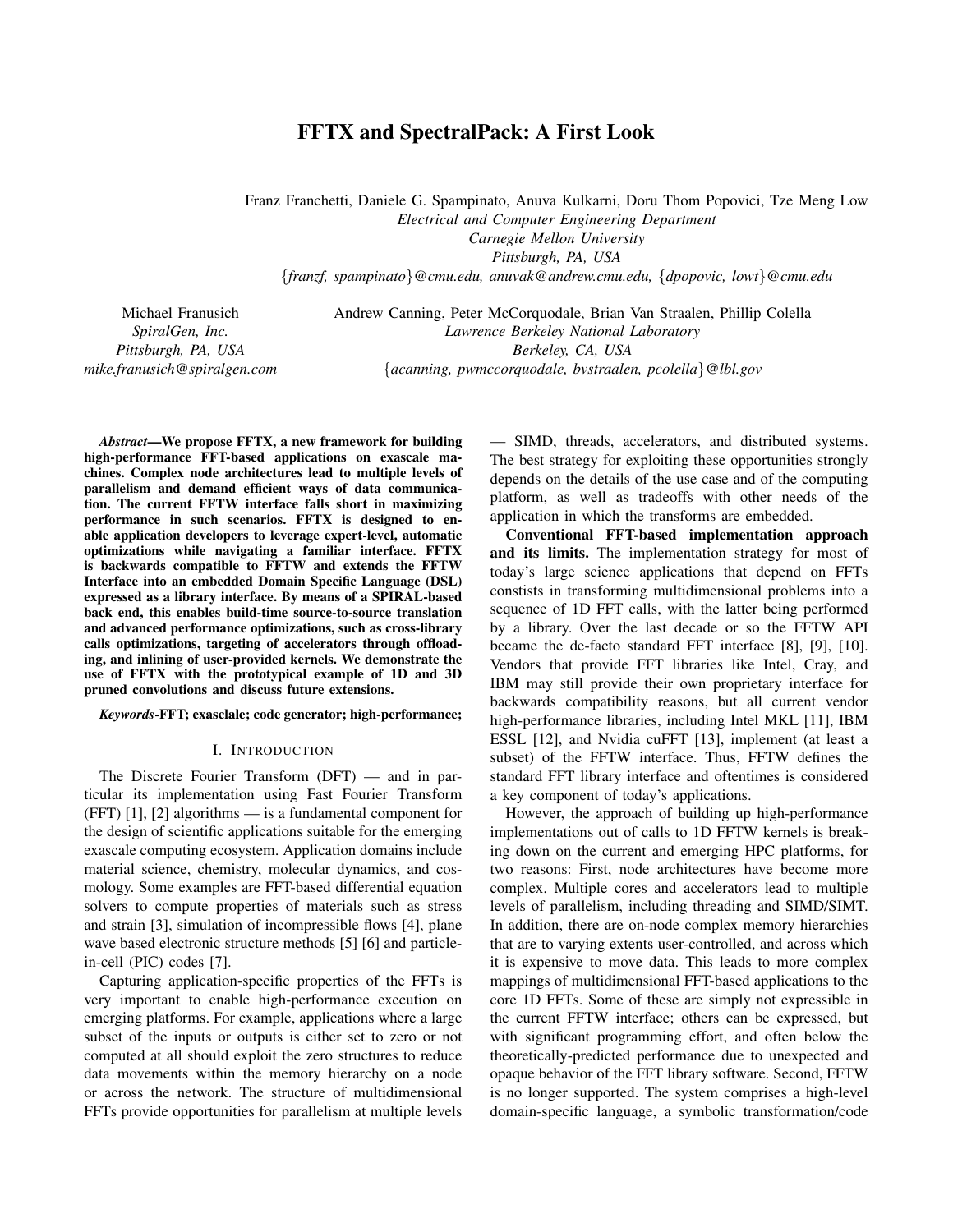# FFTX and SpectralPack: A First Look

Franz Franchetti, Daniele G. Spampinato, Anuva Kulkarni, Doru Thom Popovici, Tze Meng Low *Electrical and Computer Engineering Department*

*Carnegie Mellon University*

*Pittsburgh, PA, USA*

{*franzf, spampinato*}*@cmu.edu, anuvak@andrew.cmu.edu,* {*dpopovic, lowt*}*@cmu.edu*

Michael Franusich *SpiralGen, Inc. Pittsburgh, PA, USA mike.franusich@spiralgen.com* Andrew Canning, Peter McCorquodale, Brian Van Straalen, Phillip Colella *Lawrence Berkeley National Laboratory Berkeley, CA, USA* {*acanning, pwmccorquodale, bvstraalen, pcolella*}*@lbl.gov*

*Abstract*—We propose FFTX, a new framework for building high-performance FFT-based applications on exascale machines. Complex node architectures lead to multiple levels of parallelism and demand efficient ways of data communication. The current FFTW interface falls short in maximizing performance in such scenarios. FFTX is designed to enable application developers to leverage expert-level, automatic optimizations while navigating a familiar interface. FFTX is backwards compatible to FFTW and extends the FFTW Interface into an embedded Domain Specific Language (DSL) expressed as a library interface. By means of a SPIRAL-based back end, this enables build-time source-to-source translation and advanced performance optimizations, such as cross-library calls optimizations, targeting of accelerators through offloading, and inlining of user-provided kernels. We demonstrate the use of FFTX with the prototypical example of 1D and 3D pruned convolutions and discuss future extensions.

*Keywords*-FFT; exasclale; code generator; high-performance;

#### I. INTRODUCTION

The Discrete Fourier Transform (DFT) — and in particular its implementation using Fast Fourier Transform (FFT) [1], [2] algorithms — is a fundamental component for the design of scientific applications suitable for the emerging exascale computing ecosystem. Application domains include material science, chemistry, molecular dynamics, and cosmology. Some examples are FFT-based differential equation solvers to compute properties of materials such as stress and strain [3], simulation of incompressible flows [4], plane wave based electronic structure methods [5] [6] and particlein-cell (PIC) codes [7].

Capturing application-specific properties of the FFTs is very important to enable high-performance execution on emerging platforms. For example, applications where a large subset of the inputs or outputs is either set to zero or not computed at all should exploit the zero structures to reduce data movements within the memory hierarchy on a node or across the network. The structure of multidimensional FFTs provide opportunities for parallelism at multiple levels

— SIMD, threads, accelerators, and distributed systems. The best strategy for exploiting these opportunities strongly depends on the details of the use case and of the computing platform, as well as tradeoffs with other needs of the application in which the transforms are embedded.

Conventional FFT-based implementation approach and its limits. The implementation strategy for most of today's large science applications that depend on FFTs constists in transforming multidimensional problems into a sequence of 1D FFT calls, with the latter being performed by a library. Over the last decade or so the FFTW API became the de-facto standard FFT interface [8], [9], [10]. Vendors that provide FFT libraries like Intel, Cray, and IBM may still provide their own proprietary interface for backwards compatibility reasons, but all current vendor high-performance libraries, including Intel MKL [11], IBM ESSL [12], and Nvidia cuFFT [13], implement (at least a subset) of the FFTW interface. Thus, FFTW defines the standard FFT library interface and oftentimes is considered a key component of today's applications.

However, the approach of building up high-performance implementations out of calls to 1D FFTW kernels is breaking down on the current and emerging HPC platforms, for two reasons: First, node architectures have become more complex. Multiple cores and accelerators lead to multiple levels of parallelism, including threading and SIMD/SIMT. In addition, there are on-node complex memory hierarchies that are to varying extents user-controlled, and across which it is expensive to move data. This leads to more complex mappings of multidimensional FFT-based applications to the core 1D FFTs. Some of these are simply not expressible in the current FFTW interface; others can be expressed, but with significant programming effort, and often below the theoretically-predicted performance due to unexpected and opaque behavior of the FFT library software. Second, FFTW is no longer supported. The system comprises a high-level domain-specific language, a symbolic transformation/code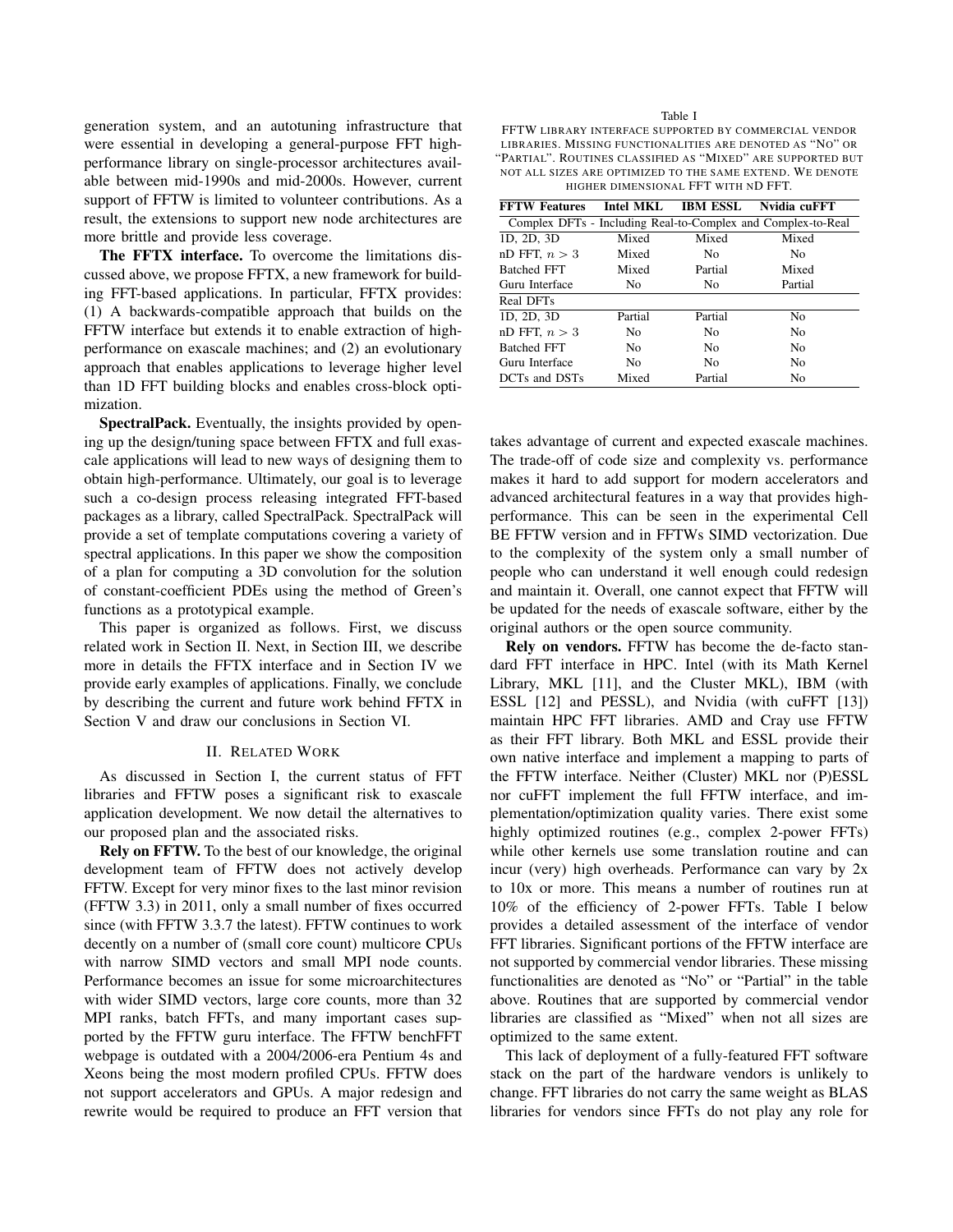generation system, and an autotuning infrastructure that were essential in developing a general-purpose FFT highperformance library on single-processor architectures available between mid-1990s and mid-2000s. However, current support of FFTW is limited to volunteer contributions. As a result, the extensions to support new node architectures are more brittle and provide less coverage.

The FFTX interface. To overcome the limitations discussed above, we propose FFTX, a new framework for building FFT-based applications. In particular, FFTX provides: (1) A backwards-compatible approach that builds on the FFTW interface but extends it to enable extraction of highperformance on exascale machines; and (2) an evolutionary approach that enables applications to leverage higher level than 1D FFT building blocks and enables cross-block optimization.

SpectralPack. Eventually, the insights provided by opening up the design/tuning space between FFTX and full exascale applications will lead to new ways of designing them to obtain high-performance. Ultimately, our goal is to leverage such a co-design process releasing integrated FFT-based packages as a library, called SpectralPack. SpectralPack will provide a set of template computations covering a variety of spectral applications. In this paper we show the composition of a plan for computing a 3D convolution for the solution of constant-coefficient PDEs using the method of Green's functions as a prototypical example.

This paper is organized as follows. First, we discuss related work in Section II. Next, in Section III, we describe more in details the FFTX interface and in Section IV we provide early examples of applications. Finally, we conclude by describing the current and future work behind FFTX in Section V and draw our conclusions in Section VI.

#### II. RELATED WORK

As discussed in Section I, the current status of FFT libraries and FFTW poses a significant risk to exascale application development. We now detail the alternatives to our proposed plan and the associated risks.

Rely on FFTW. To the best of our knowledge, the original development team of FFTW does not actively develop FFTW. Except for very minor fixes to the last minor revision (FFTW 3.3) in 2011, only a small number of fixes occurred since (with FFTW 3.3.7 the latest). FFTW continues to work decently on a number of (small core count) multicore CPUs with narrow SIMD vectors and small MPI node counts. Performance becomes an issue for some microarchitectures with wider SIMD vectors, large core counts, more than 32 MPI ranks, batch FFTs, and many important cases supported by the FFTW guru interface. The FFTW benchFFT webpage is outdated with a 2004/2006-era Pentium 4s and Xeons being the most modern profiled CPUs. FFTW does not support accelerators and GPUs. A major redesign and rewrite would be required to produce an FFT version that Table I

FFTW LIBRARY INTERFACE SUPPORTED BY COMMERCIAL VENDOR LIBRARIES. MISSING FUNCTIONALITIES ARE DENOTED AS "NO" OR "PARTIAL". ROUTINES CLASSIFIED AS "MIXED" ARE SUPPORTED BUT NOT ALL SIZES ARE OPTIMIZED TO THE SAME EXTEND. WE DENOTE HIGHER DIMENSIONAL FFT WITH ND FFT.

| <b>FFTW Features</b>                                         | Intel MKL | IBM ESSL       | Nvidia cuFFT   |
|--------------------------------------------------------------|-----------|----------------|----------------|
| Complex DFTs - Including Real-to-Complex and Complex-to-Real |           |                |                |
| 1D, 2D, 3D                                                   | Mixed     | Mixed          | Mixed          |
| nD FFT, $n > 3$                                              | Mixed     | N <sub>0</sub> | N <sub>0</sub> |
| <b>Batched FFT</b>                                           | Mixed     | Partial        | Mixed          |
| Guru Interface                                               | No.       | N <sub>0</sub> | Partial        |
| Real DFTs                                                    |           |                |                |
| 1D, 2D, 3D                                                   | Partial   | Partial        | No             |
| nD FFT, $n > 3$                                              | No        | N <sub>0</sub> | No             |
| <b>Batched FFT</b>                                           | No        | N <sub>0</sub> | No             |
| Guru Interface                                               | No        | N <sub>0</sub> | No             |
| DCTs and DSTs                                                | Mixed     | Partial        | No             |

takes advantage of current and expected exascale machines. The trade-off of code size and complexity vs. performance makes it hard to add support for modern accelerators and advanced architectural features in a way that provides highperformance. This can be seen in the experimental Cell BE FFTW version and in FFTWs SIMD vectorization. Due to the complexity of the system only a small number of people who can understand it well enough could redesign and maintain it. Overall, one cannot expect that FFTW will be updated for the needs of exascale software, either by the original authors or the open source community.

Rely on vendors. FFTW has become the de-facto standard FFT interface in HPC. Intel (with its Math Kernel Library, MKL [11], and the Cluster MKL), IBM (with ESSL [12] and PESSL), and Nvidia (with cuFFT [13]) maintain HPC FFT libraries. AMD and Cray use FFTW as their FFT library. Both MKL and ESSL provide their own native interface and implement a mapping to parts of the FFTW interface. Neither (Cluster) MKL nor (P)ESSL nor cuFFT implement the full FFTW interface, and implementation/optimization quality varies. There exist some highly optimized routines (e.g., complex 2-power FFTs) while other kernels use some translation routine and can incur (very) high overheads. Performance can vary by 2x to 10x or more. This means a number of routines run at 10% of the efficiency of 2-power FFTs. Table I below provides a detailed assessment of the interface of vendor FFT libraries. Significant portions of the FFTW interface are not supported by commercial vendor libraries. These missing functionalities are denoted as "No" or "Partial" in the table above. Routines that are supported by commercial vendor libraries are classified as "Mixed" when not all sizes are optimized to the same extent.

This lack of deployment of a fully-featured FFT software stack on the part of the hardware vendors is unlikely to change. FFT libraries do not carry the same weight as BLAS libraries for vendors since FFTs do not play any role for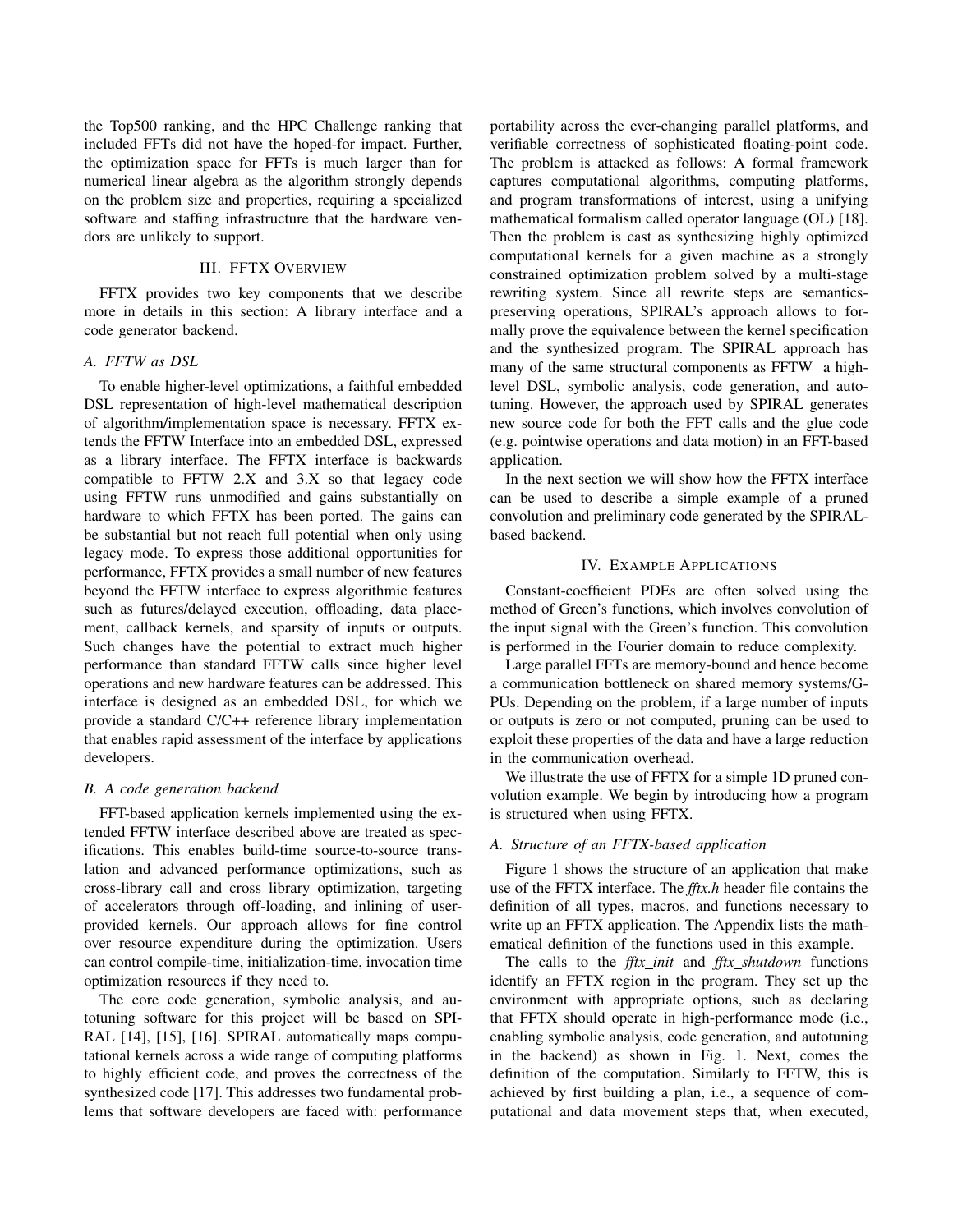the Top500 ranking, and the HPC Challenge ranking that included FFTs did not have the hoped-for impact. Further, the optimization space for FFTs is much larger than for numerical linear algebra as the algorithm strongly depends on the problem size and properties, requiring a specialized software and staffing infrastructure that the hardware vendors are unlikely to support.

# III. FFTX OVERVIEW

FFTX provides two key components that we describe more in details in this section: A library interface and a code generator backend.

# *A. FFTW as DSL*

To enable higher-level optimizations, a faithful embedded DSL representation of high-level mathematical description of algorithm/implementation space is necessary. FFTX extends the FFTW Interface into an embedded DSL, expressed as a library interface. The FFTX interface is backwards compatible to FFTW 2.X and 3.X so that legacy code using FFTW runs unmodified and gains substantially on hardware to which FFTX has been ported. The gains can be substantial but not reach full potential when only using legacy mode. To express those additional opportunities for performance, FFTX provides a small number of new features beyond the FFTW interface to express algorithmic features such as futures/delayed execution, offloading, data placement, callback kernels, and sparsity of inputs or outputs. Such changes have the potential to extract much higher performance than standard FFTW calls since higher level operations and new hardware features can be addressed. This interface is designed as an embedded DSL, for which we provide a standard C/C++ reference library implementation that enables rapid assessment of the interface by applications developers.

#### *B. A code generation backend*

FFT-based application kernels implemented using the extended FFTW interface described above are treated as specifications. This enables build-time source-to-source translation and advanced performance optimizations, such as cross-library call and cross library optimization, targeting of accelerators through off-loading, and inlining of userprovided kernels. Our approach allows for fine control over resource expenditure during the optimization. Users can control compile-time, initialization-time, invocation time optimization resources if they need to.

The core code generation, symbolic analysis, and autotuning software for this project will be based on SPI-RAL [14], [15], [16]. SPIRAL automatically maps computational kernels across a wide range of computing platforms to highly efficient code, and proves the correctness of the synthesized code [17]. This addresses two fundamental problems that software developers are faced with: performance portability across the ever-changing parallel platforms, and verifiable correctness of sophisticated floating-point code. The problem is attacked as follows: A formal framework captures computational algorithms, computing platforms, and program transformations of interest, using a unifying mathematical formalism called operator language (OL) [18]. Then the problem is cast as synthesizing highly optimized computational kernels for a given machine as a strongly constrained optimization problem solved by a multi-stage rewriting system. Since all rewrite steps are semanticspreserving operations, SPIRAL's approach allows to formally prove the equivalence between the kernel specification and the synthesized program. The SPIRAL approach has many of the same structural components as FFTW a highlevel DSL, symbolic analysis, code generation, and autotuning. However, the approach used by SPIRAL generates new source code for both the FFT calls and the glue code (e.g. pointwise operations and data motion) in an FFT-based application.

In the next section we will show how the FFTX interface can be used to describe a simple example of a pruned convolution and preliminary code generated by the SPIRALbased backend.

#### IV. EXAMPLE APPLICATIONS

Constant-coefficient PDEs are often solved using the method of Green's functions, which involves convolution of the input signal with the Green's function. This convolution is performed in the Fourier domain to reduce complexity.

Large parallel FFTs are memory-bound and hence become a communication bottleneck on shared memory systems/G-PUs. Depending on the problem, if a large number of inputs or outputs is zero or not computed, pruning can be used to exploit these properties of the data and have a large reduction in the communication overhead.

We illustrate the use of FFTX for a simple 1D pruned convolution example. We begin by introducing how a program is structured when using FFTX.

# *A. Structure of an FFTX-based application*

Figure 1 shows the structure of an application that make use of the FFTX interface. The *fftx.h* header file contains the definition of all types, macros, and functions necessary to write up an FFTX application. The Appendix lists the mathematical definition of the functions used in this example.

The calls to the *fftx init* and *fftx shutdown* functions identify an FFTX region in the program. They set up the environment with appropriate options, such as declaring that FFTX should operate in high-performance mode (i.e., enabling symbolic analysis, code generation, and autotuning in the backend) as shown in Fig. 1. Next, comes the definition of the computation. Similarly to FFTW, this is achieved by first building a plan, i.e., a sequence of computational and data movement steps that, when executed,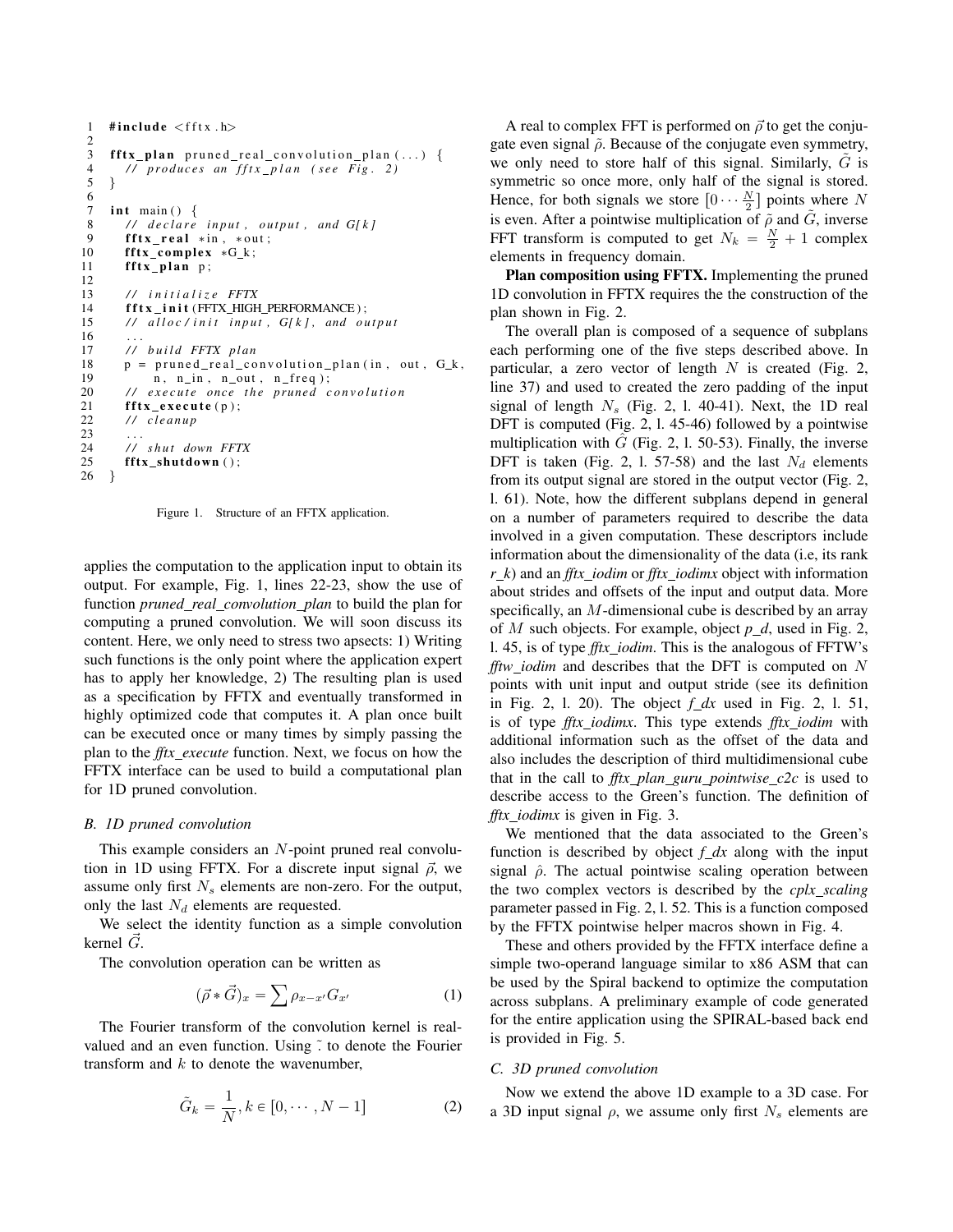```
1 #include \langlefftx.h\rangle2
 3 fftx_plan pruned_real_convolution_plan (...) {<br>4 // produces an fftx_plan (see Fig. 2)
        4 / / p r o d u c e s an f f t x p l a n ( s e e Fi g . 2 )
 5 }
 6
 7 int main () \{8 // declare input, output, and G[k]<br>9 fftx real *in *out:
        \texttt{fftx\_real} *in, *out;
10 fftx_complex *G_k;
11 fftx_plan p;
12
13 / / i n i t i a l i z e FFTX
14 f f t x _ i n i t (FFTX_HIGH_PERFORMANCE);
15 // alloc/init input, G[k], and output
16
17 / / b u i l d FFTX pl a n
18 p = pruned\_real\_convolution\_plan(in, out, G_k, 19 n, n_in, n_out, n_freq);19 n, n_in, n_out, n_freq);20 // execute once the pruned convolution
21 fftx_execute(p);<br>22 // cleanup
        22 / / cl e a n u p
\frac{23}{24}24 // shut down FFTX<br>25 fftx shutdown ():
        \texttt{fftx\_shutdown}();
26 }
```
Figure 1. Structure of an FFTX application.

applies the computation to the application input to obtain its output. For example, Fig. 1, lines 22-23, show the use of function *pruned real convolution plan* to build the plan for computing a pruned convolution. We will soon discuss its content. Here, we only need to stress two apsects: 1) Writing such functions is the only point where the application expert has to apply her knowledge, 2) The resulting plan is used as a specification by FFTX and eventually transformed in highly optimized code that computes it. A plan once built can be executed once or many times by simply passing the plan to the *fftx execute* function. Next, we focus on how the FFTX interface can be used to build a computational plan for 1D pruned convolution.

#### *B. 1D pruned convolution*

This example considers an N-point pruned real convolution in 1D using FFTX. For a discrete input signal  $\vec{\rho}$ , we assume only first  $N_s$  elements are non-zero. For the output, only the last  $N_d$  elements are requested.

We select the identity function as a simple convolution kernel  $\ddot{G}$ .

The convolution operation can be written as

$$
(\vec{\rho} * \vec{G})_x = \sum \rho_{x-x'} G_{x'}
$$
 (1)

The Fourier transform of the convolution kernel is realvalued and an even function. Using  $\tilde{\cdot}$  to denote the Fourier transform and  $k$  to denote the wavenumber,

$$
\tilde{G}_k = \frac{1}{N}, k \in [0, \cdots, N-1]
$$
 (2)

A real to complex FFT is performed on  $\vec{\rho}$  to get the conjugate even signal  $\tilde{\rho}$ . Because of the conjugate even symmetry, we only need to store half of this signal. Similarly,  $G$  is symmetric so once more, only half of the signal is stored. Hence, for both signals we store  $[0 \cdots \frac{N}{2}]$  points where N is even. After a pointwise multiplication of  $\tilde{\rho}$  and  $\tilde{G}$ , inverse FFT transform is computed to get  $N_k = \frac{N}{2} + 1$  complex elements in frequency domain.

Plan composition using FFTX. Implementing the pruned 1D convolution in FFTX requires the the construction of the plan shown in Fig. 2.

The overall plan is composed of a sequence of subplans each performing one of the five steps described above. In particular, a zero vector of length  $N$  is created (Fig. 2, line 37) and used to created the zero padding of the input signal of length  $N_s$  (Fig. 2, 1. 40-41). Next, the 1D real DFT is computed (Fig. 2, l. 45-46) followed by a pointwise multiplication with  $\tilde{G}$  (Fig. 2, 1. 50-53). Finally, the inverse DFT is taken (Fig. 2, 1. 57-58) and the last  $N_d$  elements from its output signal are stored in the output vector (Fig. 2, l. 61). Note, how the different subplans depend in general on a number of parameters required to describe the data involved in a given computation. These descriptors include information about the dimensionality of the data (i.e, its rank *r k*) and an *fftx iodim* or *fftx iodimx* object with information about strides and offsets of the input and output data. More specifically, an M-dimensional cube is described by an array of M such objects. For example, object  $p_d$ , used in Fig. 2, l. 45, is of type *fftx iodim*. This is the analogous of FFTW's *fftw iodim* and describes that the DFT is computed on N points with unit input and output stride (see its definition in Fig. 2, l. 20). The object *f dx* used in Fig. 2, l. 51, is of type *fftx iodimx*. This type extends *fftx iodim* with additional information such as the offset of the data and also includes the description of third multidimensional cube that in the call to  $\int f(x) \cdot f(x) \, dx$  *pointwise\_c2c* is used to describe access to the Green's function. The definition of *fftx iodimx* is given in Fig. 3.

We mentioned that the data associated to the Green's function is described by object  $f<sub>-</sub>dx$  along with the input signal  $\hat{\rho}$ . The actual pointwise scaling operation between the two complex vectors is described by the *cplx scaling* parameter passed in Fig. 2, l. 52. This is a function composed by the FFTX pointwise helper macros shown in Fig. 4.

These and others provided by the FFTX interface define a simple two-operand language similar to x86 ASM that can be used by the Spiral backend to optimize the computation across subplans. A preliminary example of code generated for the entire application using the SPIRAL-based back end is provided in Fig. 5.

#### *C. 3D pruned convolution*

Now we extend the above 1D example to a 3D case. For a 3D input signal  $\rho$ , we assume only first  $N_s$  elements are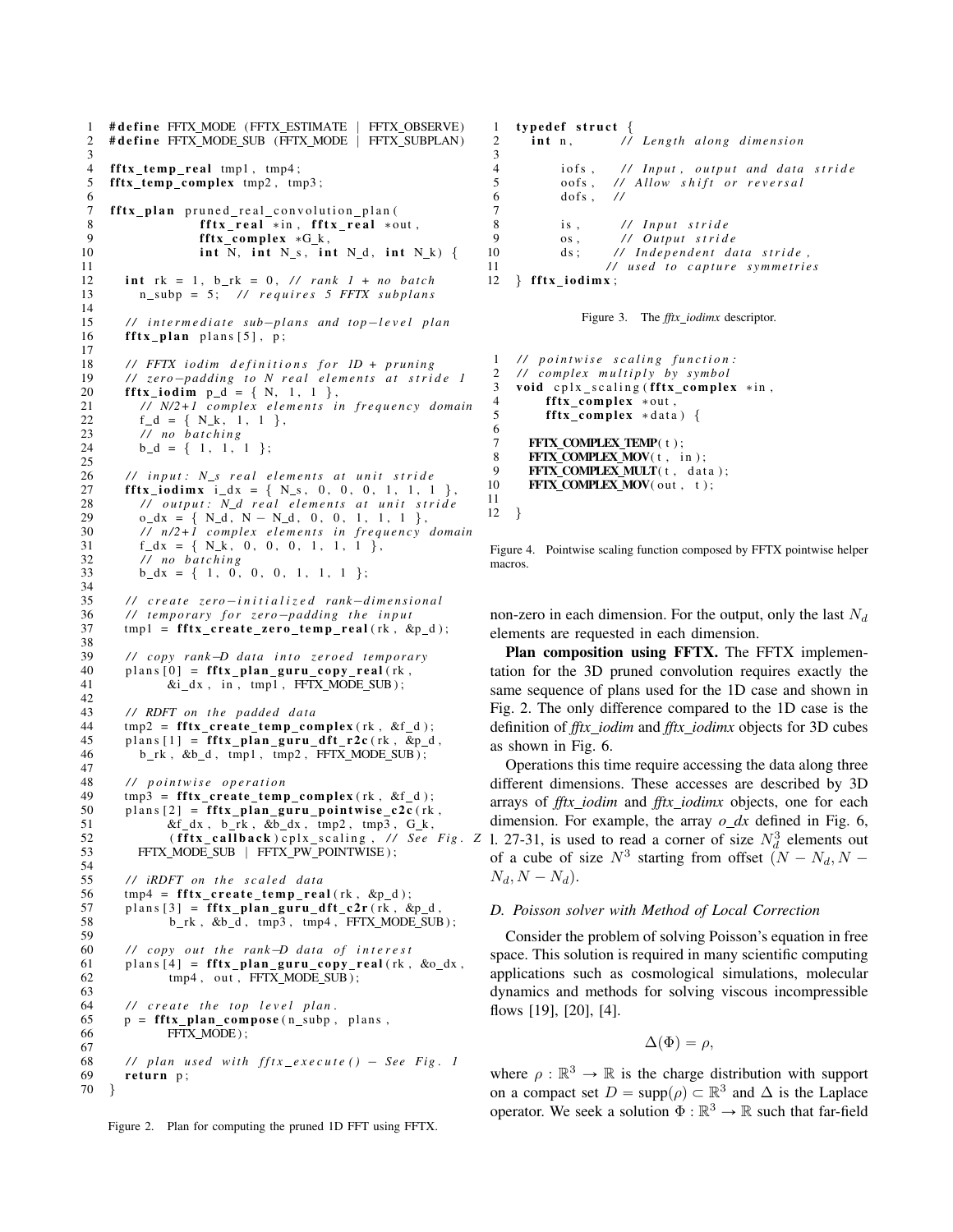1 # define FFTX\_MODE (FFTX\_ESTIMATE | FFTX\_OBSERVE) 2 # define FFTX MODE SUB (FFTX MODE | FFTX SUBPLAN)  $\frac{3}{4}$  $\int f f(x \text{ temp real mp1}, \text{tmp4};$ 5 fftx\_temp\_complex tmp2, tmp3; 6 7 fftx\_plan pruned\_real\_convolution\_plan ( 8 f f t x \_ r e al  $*$  in , f f t x \_ r e al  $*$  out ,  $9$  f f t x complex  $*$  G k  $fftx_{\text{complex}} * G_k$ , 10 int N, int N\_s, int N\_d, int N\_k) { 11 12 int  $rk = 1$ ,  $b_r = 0$ , //  $rank \, 1 + no \, batch$ 13 n\_subp = 5; // requires 5 FFTX subplans 14 15 // intermediate sub-plans and top-level plan 16 **f f tx** plan plans  $[5]$ , p; 17 18 *// FFTX iodim definitions for 1D + pruning*<br>19 *// zero-padding to N real elements at stri*d 19 *// zero-padding to N real elements at stride 1* 20 **f f t x\_i o d i m**  $p_d = \{ N, 1, 1 \}$ , 21 *// N/2+1 complex elements in frequency domain*<br>22 f d = { N k, 1, 1 }. 22  $f_d = \{ N_k, 1, 1 \}$ ,<br>
23 // no batching 23 // *no batching*<br>24 b d = { 1, 1,  $b_d = \{ 1, 1, 1 \}$ ; 25 26 *// input:* N\_s real elements at unit stride<br>27 **fftx iodimx** i dx = { N\_s, 0, 0, 0, 1, 1, 1 **fftx\_iodimx** i\_dx = { $N_s$ , 0, 0, 0, 1, 1, 1 }, 28 *// output:* N\_d real elements at unit stride<br>29 o dx = { N d, N - N d, 0, 0, 1, 1, 1 }. 29  $o_d x = \{ N_d, N - N_d, 0, 0, 1, 1, 1 \}$ 30 */ / n /2+1 c om plex e l e m e n t s i n f r e q u e n c y domain* 31  $f_d x = \{ N_k, 0, 0, 0, 1, 1, 1 \}$ ,<br>32 // *no batching*  $\overline{11}$  no batching 33 **b**  $dx = \{ 1, 0, 0, 0, 1, 1, 1 \}$ ; 34 35 // create zero-initialized rank-dimensional<br>36 // temporary for zero-padding the input 36 *// temporary for zero-padding the input*<br>37 tmp1 = **fftx create zero temp real** (rk, &  $tmp1 = fftx_ccreate_zero_temp_rreal(rk, & p_d);$ 38<br>39  $1/$  copy rank-D data into zeroed temporary 40 plans  $[0]$  = **fftx\_plan\_guru\_copy\_real** (rk, 41  $\&i_dx$ , in, tmp1, FFTX\_MODE\_SUB);  $&i_d x$ , in,  $tmp1$ ,  $FFTX_MODE_SUB$ ; 42<br>43 43 *// RDFT on the padded data*<br>44 *tmp2 = fftx create temp con*  $44$  tmp2 = fftx\_create\_temp\_complex(rk, &f\_d);<br>45 plans[1] = fftx plan guru dft r2c(rk, &p d  $plans [1] = fftx-plane_guru_dft_r2c(rk, &p_d,$ 46 b\_rk, &b\_d, tmp1, tmp2, FFTX\_MODE\_SUB); 47 48 // *pointwise operation*<br>49 mp3 = **fftx create temp** 49 tmp3 = fftx\_create\_temp\_complex(rk, &f\_d);<br>50 plans [2] = fftx plan guru pointwise c2c(rk  $plans [2] = fftx_plan_guru_pointwise_c2c(rk,$ 51  $\&f_d x$ , b\_rk,  $\&b_d x$ , tmp2, tmp3, G\_k,<br>52 (fftx\_callback)cplx\_scaling, // See 52 (**fftx\_callback**)cplx\_scaling, // See Fig. Z 53 FFTX\_MODE\_SUB | FFTX\_PW\_POINTWISE ); 54<br>55 // iRDFT on the scaled data 56  $tmp4 = fftx_ccreate_temp_rreal(rk, \&p_d);$ <br>57 plans [3] = fftx\_plan\_guru\_dft\_c2r(rk, & 57 plans  $[3]$  = fftx\_plan\_guru\_dft\_c2r (rk, &p\_d, 58 b\_rk, &b\_d, tmp3, tmp4, FFTX\_MODE\_SUB  $b_r k$ ,  $db_d$ ,  $tmp3$ ,  $tmp4$ ,  $FFTX_MODE_SUB$  ; 59 60 */ / c o py o ut t h e rank*´*D d at a o f i n t e r e s t* 61 plans  $[4] = \textbf{fftx} \textbf{plan\_guru\_copy\_real}$  (rk, &o\_dx,  $62 \text{ imp4}$ , out, FFTX\_MODE\_SUB);  $tmp4$ , out,  $FFTX_MODE_SUB$ ; 63 64 *// create the top level plan.*<br>65 **p** = **fftx plan compose** (n subp, 65  $p = f f t x\_plan\_compose(n\_subp, plans, 66$  FFTX MODE): FFTX\_MODE); 67 68 // plan used with  $fftx\_execute() - See Fig. 1$ <br>69 **return** p; return  $p$ ; 70 }

1 typedef struct {<br>2 int n. //  $\int$ **int** n,  $\int$  *length along dimension*  $\frac{3}{4}$ iofs, // Input, output and data stride<br>oofs, // Allow shift or reversal 5 oofs, // Allow shift or reversal<br>6 dofs, //  $d$  of s ,  $\frac{7}{4}$ 7 8 is, // *Input stride*<br>9 os. // *Outnut strid* 9 os, // Output stride<br>10 ds: // Independent do ds; // Independent data stride, 11 // used to capture symmetries<br>12 **} fftx iodimx**:  $}$  fftx\_iodimx;



```
1 // pointwise scaling function:<br>2 // complex multiply by symbol
     2 / / c om plex m u l t i p l y by sym b ol
3 void cplx_scaling (fftx_complex *in,
4 fftx_complex ∗out,<br>5 fftx_complex ∗data
           fftx complex *data) {
\frac{6}{7}7 FFTX_COMPLEX_TEMP(t);<br>8 FFTX COMPLEX MOV(t, i

9 FFTX_COMPLEX_MULT(t, data);<br>10 FFTX COMPLEX MOV(out, t);
       FFTX COMPLEX MOV( out, t);
11
12 }
```
Figure 4. Pointwise scaling function composed by FFTX pointwise helper macros.

non-zero in each dimension. For the output, only the last  $N_d$ elements are requested in each dimension.

Plan composition using FFTX. The FFTX implementation for the 3D pruned convolution requires exactly the same sequence of plans used for the 1D case and shown in Fig. 2. The only difference compared to the 1D case is the definition of *fftx iodim* and *fftx iodimx* objects for 3D cubes as shown in Fig. 6.

Operations this time require accessing the data along three different dimensions. These accesses are described by 3D arrays of *fftx iodim* and *fftx iodimx* objects, one for each dimension. For example, the array  $o_dx$  defined in Fig. 6, 1. 27-31, is used to read a corner of size  $N_d^3$  elements out of a cube of size  $N^3$  starting from offset  $(N - N_d, N N_d, N - N_d$ .

#### *D. Poisson solver with Method of Local Correction*

Consider the problem of solving Poisson's equation in free space. This solution is required in many scientific computing applications such as cosmological simulations, molecular dynamics and methods for solving viscous incompressible flows [19], [20], [4].

$$
\Delta(\Phi) = \rho,
$$

where  $\rho : \mathbb{R}^3 \to \mathbb{R}$  is the charge distribution with support on a compact set  $D = \text{supp}(\rho) \subset \mathbb{R}^3$  and  $\Delta$  is the Laplace operator. We seek a solution  $\Phi : \mathbb{R}^3 \to \mathbb{R}$  such that far-field

Figure 2. Plan for computing the pruned 1D FFT using FFTX.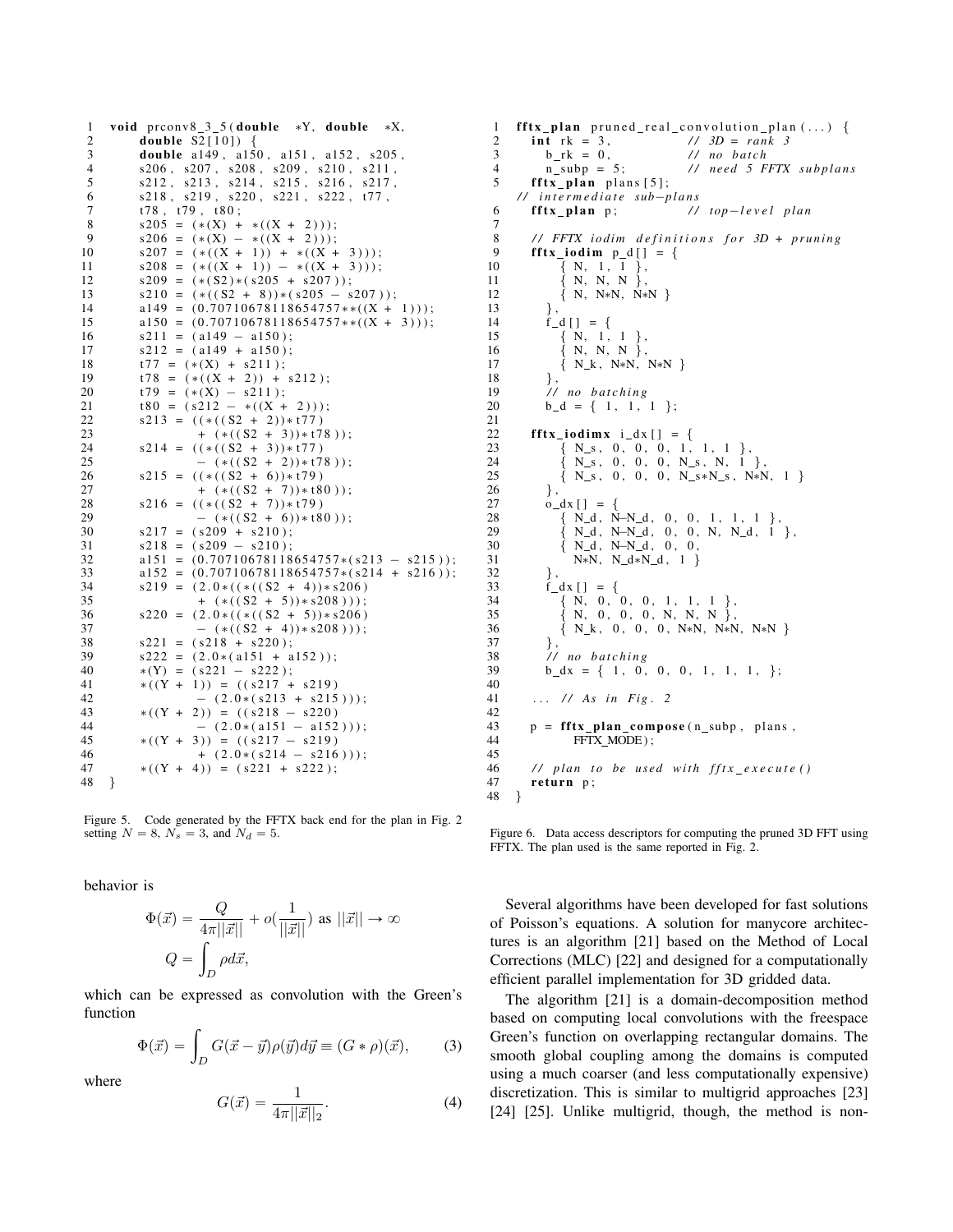```
1 void prconv8_3_5 (double *Y, double *X,<br>2 double S2[101] {
            double S2[10] {
 3 double a149, a150, a151, a152, s205,<br>4 s206, s207, s208, s209, s210, s211
            {\rm s206} , {\rm s207} , {\rm s208} , {\rm s209} , {\rm s210} , {\rm s211} ,
 5 s212 , s213 , s214 , s215 , s216 , s217 ,
 6 s218, s219, s220, s221, s222, t77,
 7 t 78, t 79, t 80;
 8 s205 = (*(X) + *((X + 2)));<br>9 s206 = (*(X) - *((X + 2)));9 s206 = (*(X) - *((X + 2)));<br>10 s207 = (*((X + 1)) + *((X + 1))s207 = (*((X + 1)) + *((X + 3)));11 s208 = (*((X + 1)) - *((X + 3)));<br>
12 s209 = (* (S2)*(s205 + s207));
            s209 = (* (S2) * (s205 + s207));13 s210 = (*((S2 + 8)) * (s205 - s207));<br>
14 a149 = (0.70710678118654757**((X +a149 = (0.70710678118654757**((X + 1)));15 a150 = (0.70710678118654757**((X + 3)));16 s211 = (a149 - a150);17 \quad s212 = (a149 + a150);18 t77 = (*(X) + s211);<br>
19 t78 = (*((X + 2)) +19 t78 = (*((X + 2)) + s212);<br>
20 t79 = (*(X) - s211).20 t79 = (*(X) - s211);<br>21 t80 = (s212 - *((X +21 t 80 = (s 212 - *((X + 2)));<br>
22 s 213 = ((*((S2 + 2)) * t 77))22 s213 = ((*((82 + 2))*t77)<br>23 + (*((52 + 3))*t7)+ (*((S2 + 3))*t78 );
24 s214 = ((*( (S2 + 3))*t77)<br>25 - (*((S2 + 2))*t7)25 			- ( * ( ( S2 + 2)) * t78 ) );<br>26 			 s215 = ( ( * ( ( S2 + 6)) * t79 )
26 s215 = ((*((S2 + 6)) * t79)<br>27 + (*((S2 + 7)) * t8)+ (*((S2 + 7))*t80 );
28 s216 = ((*((S2 + 7))*t79)<br>29 - (*((S2 + 6))*t8)29 			- ( * ( ( S2 + 6)) * t 80 ) );<br>30 			 s 217 = ( s 209 + s 210 ) ·
30 s217 = (s209 + s210);<br>31 s218 = (s209 - s210);31 s218 = (s209 - s210);<br>32 a151 = (0.70710678118)32 a151 = (0.70710678118654757*(s213 - s215));<br>a152 = (0.70710678118654757*(s214 + s216));
33 a152 = (0.70710678118654757*(s214 + s216));<br>34 s219 = (2.0*((*(s2 + 4))*s206))s219 = (2.0 * ((*(S2 + 4))*s206))35 + (*((S2 + 5))*s208));<br>36 s220 = (2.0*((*((S2 + 5))*s206))s220 = (2.0 * ((*(S2 + 5))*s206)37 - (*((S2 + 4))*s208)));38 s221 = (s218 + s220);<br>39 s222 = (2.0*(a151 + a))s222 = (2.0 * (a151 + a152));
40 *(Y) = (s221 - s222);
41 *( (Y + 1) ) = ( (8217 + 8219)<br>42 - (2.0 * (8213 + 8215))42 - (2.0 * (s213 + s215)));<br>43 *( (Y + 2) ) = ((s218 - s220))43 *( (Y + 2) ) = (( 8218 - 8220)<br>44 - (2.0 * (a151 - a152))44 - (2.0 * (a151 - a152)) );<br>45 *( (Y + 3) ) = ((s217 - s219))45 *( (Y + 3) ) = ( (s217 - s219)<br>46 * (2.0 * (s214 - s216))46 + (2.0*(s214 - s216)));<br>47 *( (Y + 4) ) = (s221 + s222)*( (Y + 4) ) = ( s 2 2 1 + s 2 2 2 );
48 }
```
Figure 5. Code generated by the FFTX back end for the plan in Fig. 2 setting  $N = 8$ ,  $N_s = 3$ , and  $N_d = 5$ .

behavior is

$$
\Phi(\vec{x}) = \frac{Q}{4\pi||\vec{x}||} + o(\frac{1}{||\vec{x}||}) \text{ as } ||\vec{x}|| \to \infty
$$

$$
Q = \int_D \rho d\vec{x},
$$

which can be expressed as convolution with the Green's function

$$
\Phi(\vec{x}) = \int_D G(\vec{x} - \vec{y}) \rho(\vec{y}) d\vec{y} \equiv (G * \rho)(\vec{x}), \quad (3)
$$

where

$$
G(\vec{x}) = \frac{1}{4\pi ||\vec{x}||_2}.
$$
 (4)

1 **fftx\_plan** pruned\_real\_convolution\_plan(...) {<br>2 **int** rk = 3, //  $3D = rank 3$ 2 int rk = 3, // 3D = rank 3 3 b rk = 0, // *no batch*<br>4 n\_subp = 5; // *need* 5 F 4 n s u b p = 5 ; */ / nee d 5 FFTX s u b p l a n s*  $5$  fftx\_plan plans [5]; // *intermediate sub-plans*<br>**fftx\_plan** p; // 6 **fftx\_plan** p; // top-level plan  $\frac{7}{8}$ // FFTX iodim definitions for 3D + pruning 9 **f f t x\_i o d i m**  $p_d$  [ ] = {<br>10 { N, 1, 1 }, 10  $\{ N, 1, 1 \}$ ,<br>11  $\{ N, N, N \}$  $N, N, N$   $\}$ , 12 { N, N∗N, N∗N }<br>13 },  $\}$ , 14  $\mathbf{f}_d[\ ] = \{$ <br>15  $\{ N, 1, \ ]$  $\{ N, 1, 1 \}$ , 16  $\{ N, N, N \}$ , 17 { N\_k, N\*N, N\*N }  $\frac{18}{19}$ 19  $\frac{1}{20}$  *// no batching*<br>20 **b** d = { 1, 1,  $b_d = \{ 1, 1, 1 \}$ ;  $\frac{21}{22}$ 22 **f f t x\_i o d i m x** i \_d x [ ] = {<br>23 { N s, 0, 0, 0, 1, 23  $\{ N_s, 0, 0, 0, 1, 1, 1 \}$ ,<br>24  $\{ N_s, 0, 0, 0, N_s, N_s \}$  $N_s$ , 0, 0, 0,  $N_s$ , N, 1 }, 25 { N\_s, 0, 0, 0, N\_s\*N\_s, N\*N, 1 }<br>26 },  $\begin{matrix} 26 \\ 27 \end{matrix}$ , 27  $o_d x [ ] = {$ <br>28  ${N d, N}$ 28  ${N_d, N-N_d, 0, 0, 1, 1, 1}$ ,<br>29  ${N_d, N-N_d, 0, 0, N, N_d, 1}$ 29  $\{ N_d, N-N_d, 0, 0, N, N_d, 1 \}$ ,<br>30  $\{ N_d, N-N_d, 0, 0,$ 30 { N\_d, N-N\_d, 0, 0,<br>31 <br>N\*N, N\_d\*N\_d, 1 } N∗N, N\_d∗N\_d, 1 }  $\frac{32}{33}$  $\int_{a}^{b} dx$  [ ] = { 34 { N, 0, 0, 0, 1, 1, 1 },<br>35 { N, 0, 0, 0, N, N, N }, 35  $\{ N, 0, 0, 0, N, N, N \},$ <br>36  $\{ N, k, 0, 0, 0, N*N, N*N \}$  $\left\{\begin{array}{ccc} N_{-}k\,, & 0\,, & 0\,, & 0\,, & N*N\,, & N*N\,, & N*N\,\end{array}\right\}$  $37 \quad \{3, 3, 5\}$ 38 */ / no b a t c h i n g* 39  $b_d x = \{ 1, 0, 0, 0, 1, 1, 1, \}$ ;  $\begin{array}{c} 40 \\ 41 \end{array}$ ... // As in Fig. 2  $42$ <br> $43$ 43  $p = f f t x\_plan\_compose(n\_subp, plans, 44$  FFTX MODE): FFTX MODE);  $\frac{45}{46}$ // plan to be used with  $fftx\_execute()$ 47 return  $p$ ;<br>48 } 48 }

Figure 6. Data access descriptors for computing the pruned 3D FFT using FFTX. The plan used is the same reported in Fig. 2.

Several algorithms have been developed for fast solutions of Poisson's equations. A solution for manycore architectures is an algorithm [21] based on the Method of Local Corrections (MLC) [22] and designed for a computationally efficient parallel implementation for 3D gridded data.

The algorithm [21] is a domain-decomposition method based on computing local convolutions with the freespace Green's function on overlapping rectangular domains. The smooth global coupling among the domains is computed using a much coarser (and less computationally expensive) discretization. This is similar to multigrid approaches [23] [24] [25]. Unlike multigrid, though, the method is non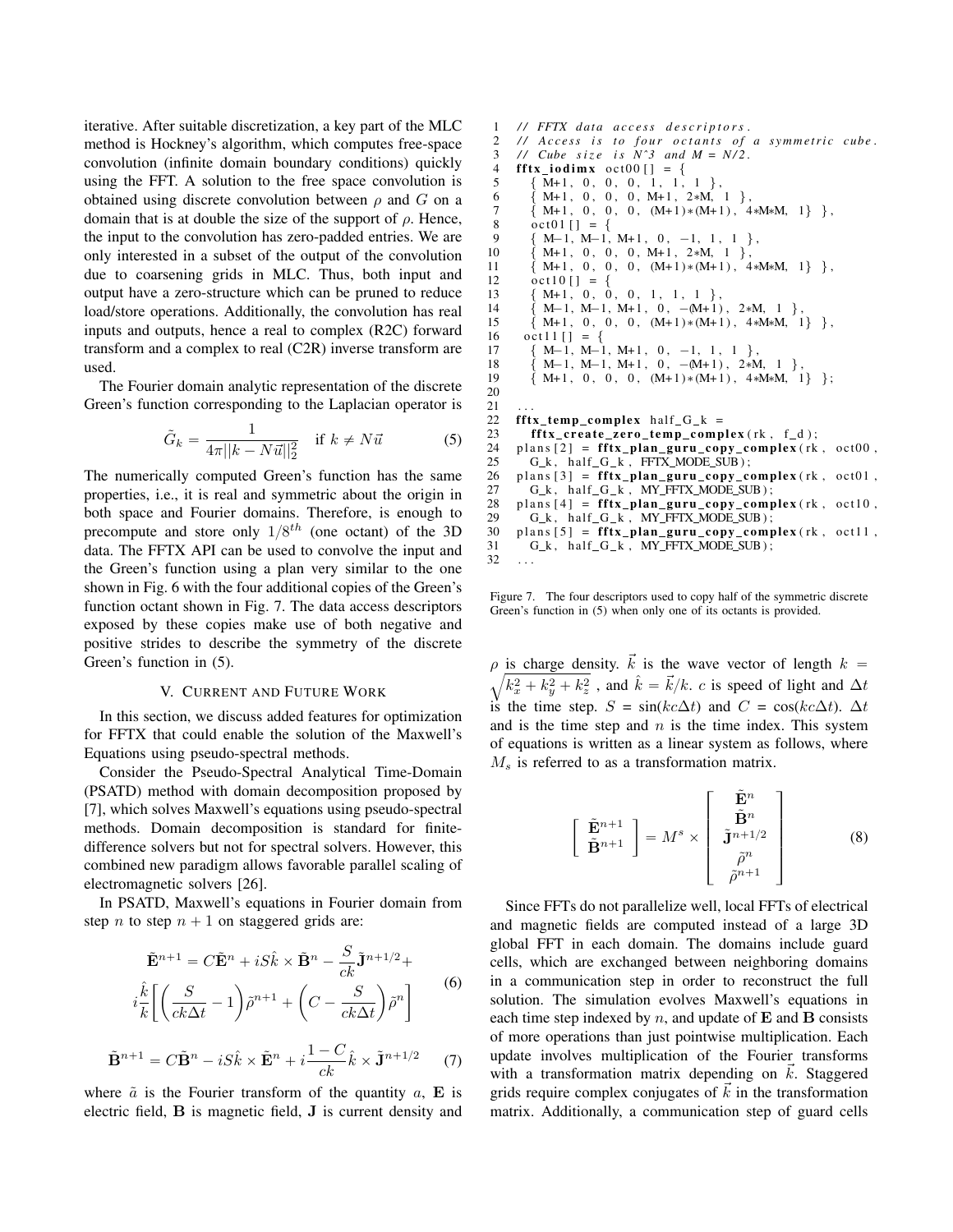iterative. After suitable discretization, a key part of the MLC method is Hockney's algorithm, which computes free-space convolution (infinite domain boundary conditions) quickly using the FFT. A solution to the free space convolution is obtained using discrete convolution between  $\rho$  and G on a domain that is at double the size of the support of  $\rho$ . Hence, the input to the convolution has zero-padded entries. We are only interested in a subset of the output of the convolution due to coarsening grids in MLC. Thus, both input and output have a zero-structure which can be pruned to reduce load/store operations. Additionally, the convolution has real inputs and outputs, hence a real to complex (R2C) forward transform and a complex to real (C2R) inverse transform are used.

The Fourier domain analytic representation of the discrete Green's function corresponding to the Laplacian operator is

$$
\tilde{G}_k = \frac{1}{4\pi ||k - N\vec{u}||_2^2} \quad \text{if } k \neq N\vec{u} \tag{5}
$$

The numerically computed Green's function has the same properties, i.e., it is real and symmetric about the origin in both space and Fourier domains. Therefore, is enough to precompute and store only  $1/8^{th}$  (one octant) of the 3D data. The FFTX API can be used to convolve the input and the Green's function using a plan very similar to the one shown in Fig. 6 with the four additional copies of the Green's function octant shown in Fig. 7. The data access descriptors exposed by these copies make use of both negative and positive strides to describe the symmetry of the discrete Green's function in (5).

# V. CURRENT AND FUTURE WORK

In this section, we discuss added features for optimization for FFTX that could enable the solution of the Maxwell's Equations using pseudo-spectral methods.

Consider the Pseudo-Spectral Analytical Time-Domain (PSATD) method with domain decomposition proposed by [7], which solves Maxwell's equations using pseudo-spectral methods. Domain decomposition is standard for finitedifference solvers but not for spectral solvers. However, this combined new paradigm allows favorable parallel scaling of electromagnetic solvers [26].

In PSATD, Maxwell's equations in Fourier domain from step n to step  $n + 1$  on staggered grids are:

$$
\tilde{\mathbf{E}}^{n+1} = C\tilde{\mathbf{E}}^n + iS\hat{k} \times \tilde{\mathbf{B}}^n - \frac{S}{ck}\tilde{\mathbf{J}}^{n+1/2} + i\tilde{k}\left(\frac{S}{ck\Delta t} - 1\right)\tilde{\rho}^{n+1} + \left(C - \frac{S}{ck\Delta t}\right)\tilde{\rho}^n\right]
$$
(6)

$$
\tilde{\mathbf{B}}^{n+1} = C\tilde{\mathbf{B}}^n - iS\hat{k} \times \tilde{\mathbf{E}}^n + i\frac{1-C}{ck}\hat{k} \times \tilde{\mathbf{J}}^{n+1/2} \tag{7}
$$

where  $\tilde{a}$  is the Fourier transform of the quantity a, **E** is electric field, B is magnetic field, J is current density and

1 // FFTX data access descriptors. 2 // Access is to four octants of a symmetric cube. 3 *// Cube size is*  $N^3$  *and*  $M = N/2$ .<br>4 **fftx iodimx** oct00  $I = \{$  $\textbf{fftx\_iodimx} \ \text{oct00} [ ] = \{$  $5 \qquad \{ M+1, 0, 0, 0, 1, 1, 1 \}$ 6  ${M+1, 0, 0, 0, M+1, 2*M, 1}$ 7 { M+1, 0, 0, 0,  $(M+1)*(M+1)$ , 4\*M\*M, 1} }, 8  $\cot 01 [ ] = { }$ <br>9  $\{ M-1, M-1 \}$ 9  ${M-1, M-1, M+1, 0, -1, 1, 1}$ 10 { M+1, 0, 0, 0, M+1, 2\*M, 1 }, 11  $\{M+1, 0, 0, 0, (M+1)*(M+1), 4*M*M, 1\}$ ,<br>12 oct10  $I = \{$  $\cot 10$  [ ] =  $13 \qquad \{ M+1, 0, 0, 0, 1, 1, 1 \}$ 14  $\{M-1, M-1, M+1, 0, -(M+1), 2*M, 1\}$ 15 { M+1, 0, 0, 0,  $(M+1)*(M+1)$ , 4\*M\*M, 1} }, 16  $oct11 [] = { }$  $17 \qquad {\text{M-1, M-1, M+1, 0, -1, 1, 1}}$ 18 { M-1, M-1, M+1, 0, -(M+1), 2∗M, 1 },<br>19 { M+1, 0, 0, 0, (M+1) \* (M+1), 4∗M\*M, 1  $M+1$ , 0, 0, 0,  $(M+1)*(M+1)$ , 4∗ $M*M$ , 1} }; 20  $\begin{array}{c} 21 \\ 22 \end{array}$ 22 **fftx\_temp\_complex** half\_G\_k =  $23$  **fftx** create zero temp comp 23 f f t x\_c r e a t e \_ c er o \_ t em p \_ c om pl e x ( rk , f \_ d ) ;<br>24 plans [2] = f f t x plan guru c op y c om pl e x ( rk 24 plans  $[2]$  = fftx\_plan\_guru\_copy\_complex  $(rk, oct00, 25)$  G k, half G k, FFTX MODE SUB :  $G_k$ , half\_ $G_k$ ,  $FFTX_MODE$   $SUB$ ); 26 plans  $[3]$  = fftx\_plan\_guru\_copy\_complex  $(rk, oct01, 27)$  G k, half G k, MY FFTX MODE SUB); 27  $G_k$ , half  $G_k$ , MY FFTX MODE SUB);<br>28 plans [4] = fftx plan guru copy comp 28 plans  $[4] = \textbf{fftx} \cdot \textbf{plan} \cdot \textbf{guru} \cdot \textbf{copy} \cdot \textbf{complex}(\text{rk}, \text{oct10}, 29)$  G k, half G k, MY FFTX MODE SUB): 29  $G_k$ , half  $G_k$ , MY FFTX MODE SUB);<br>30 plans [5] = fftx plan guru conv comp 30 p l ans  $[5] = \textbf{fftx} \textbf{plan\_guru\_copy\_complex}$  (rk, oct 11,  $G_k$ , half  $G_k$ , MY FFTX MODE SUB);  $31$  G\_k, half\_G\_k, MY\_FFTX\_MODE\_SUB);<br> $32$  ...

Figure 7. The four descriptors used to copy half of the symmetric discrete Green's function in (5) when only one of its octants is provided.

. . .

 $\rho$  is charge density.  $\vec{k}$  is the wave vector of length  $k =$  $(k_x^2 + k_y^2 + k_z^2$ , and  $\hat{k} = \vec{k}/k$ . c is speed of light and  $\Delta t$ is the time step.  $S = sin(kc\Delta t)$  and  $C = cos(kc\Delta t)$ .  $\Delta t$ and is the time step and  $n$  is the time index. This system of equations is written as a linear system as follows, where  $M<sub>s</sub>$  is referred to as a transformation matrix.

$$
\begin{bmatrix} \tilde{\mathbf{E}}^{n+1} \\ \tilde{\mathbf{B}}^{n+1} \end{bmatrix} = M^s \times \begin{bmatrix} \tilde{\mathbf{E}}^n \\ \tilde{\mathbf{J}}^{n+1/2} \\ \tilde{\rho}^n \\ \tilde{\rho}^{n+1} \end{bmatrix}
$$
 (8)

Since FFTs do not parallelize well, local FFTs of electrical and magnetic fields are computed instead of a large 3D global FFT in each domain. The domains include guard cells, which are exchanged between neighboring domains in a communication step in order to reconstruct the full solution. The simulation evolves Maxwell's equations in each time step indexed by  $n$ , and update of  $E$  and  $B$  consists of more operations than just pointwise multiplication. Each update involves multiplication of the Fourier transforms with a transformation matrix depending on  $k$ . Staggered grids require complex conjugates of  $k$  in the transformation matrix. Additionally, a communication step of guard cells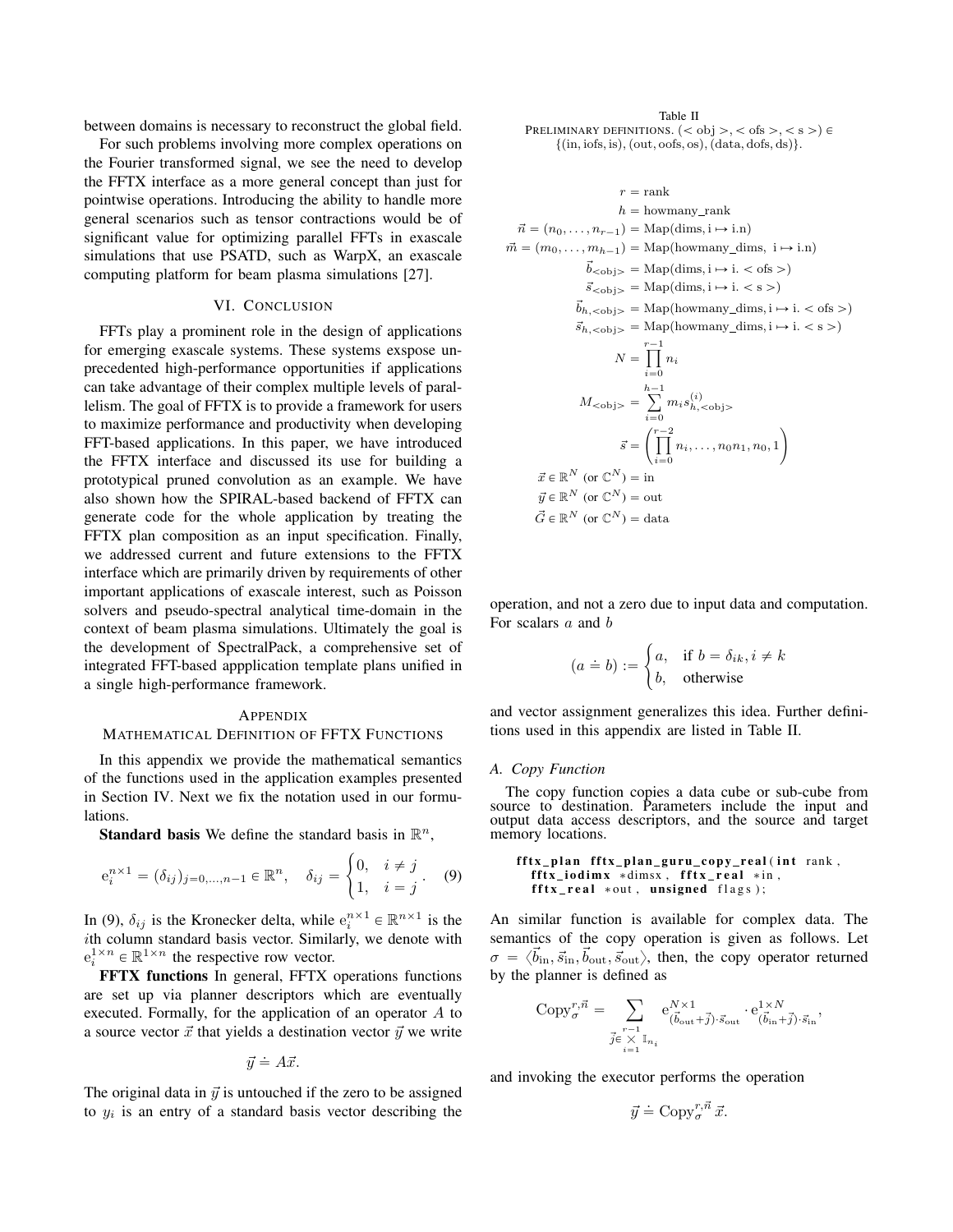between domains is necessary to reconstruct the global field.

For such problems involving more complex operations on the Fourier transformed signal, we see the need to develop the FFTX interface as a more general concept than just for pointwise operations. Introducing the ability to handle more general scenarios such as tensor contractions would be of significant value for optimizing parallel FFTs in exascale simulations that use PSATD, such as WarpX, an exascale computing platform for beam plasma simulations [27].

# VI. CONCLUSION

FFTs play a prominent role in the design of applications for emerging exascale systems. These systems exspose unprecedented high-performance opportunities if applications can take advantage of their complex multiple levels of parallelism. The goal of FFTX is to provide a framework for users to maximize performance and productivity when developing FFT-based applications. In this paper, we have introduced the FFTX interface and discussed its use for building a prototypical pruned convolution as an example. We have also shown how the SPIRAL-based backend of FFTX can generate code for the whole application by treating the FFTX plan composition as an input specification. Finally, we addressed current and future extensions to the FFTX interface which are primarily driven by requirements of other important applications of exascale interest, such as Poisson solvers and pseudo-spectral analytical time-domain in the context of beam plasma simulations. Ultimately the goal is the development of SpectralPack, a comprehensive set of integrated FFT-based appplication template plans unified in a single high-performance framework.

#### **APPENDIX**

#### MATHEMATICAL DEFINITION OF FFTX FUNCTIONS

In this appendix we provide the mathematical semantics of the functions used in the application examples presented in Section IV. Next we fix the notation used in our formulations.

**Standard basis** We define the standard basis in  $\mathbb{R}^n$ ,

$$
e_i^{n \times 1} = (\delta_{ij})_{j=0,...,n-1} \in \mathbb{R}^n, \quad \delta_{ij} = \begin{cases} 0, & i \neq j \\ 1, & i = j \end{cases}.
$$
 (9)

In (9),  $\delta_{ij}$  is the Kronecker delta, while  $e_i^{n \times 1} \in \mathbb{R}^{n \times 1}$  is the ith column standard basis vector. Similarly, we denote with  $e_i^{1 \times n} \in \mathbb{R}^{1 \times n}$  the respective row vector.

FFTX functions In general, FFTX operations functions are set up via planner descriptors which are eventually executed. Formally, for the application of an operator A to a source vector  $\vec{x}$  that yields a destination vector  $\vec{y}$  we write

$$
\vec{y} \doteq A\vec{x}.
$$

The original data in  $\vec{y}$  is untouched if the zero to be assigned to  $y_i$  is an entry of a standard basis vector describing the

Table II PRELIMINARY DEFINITIONS.  $(<$  obj >, < ofs >, < s >)  $\in$  $\{(in, \text{iofs}, \text{is}), (\text{out}, \text{oofs}, \text{os}), (\text{data}, \text{dofs}, \text{ds})\}.$ 

$$
r = \text{rank}
$$
  
\n
$$
h = \text{howmany\_rank}
$$
  
\n
$$
\vec{n} = (n_0, \dots, n_{r-1}) = \text{Map}( \text{dim s}, \mathbf{i} \rightarrow \mathbf{i}.\mathbf{n})
$$
  
\n
$$
\vec{m} = (m_0, \dots, m_{h-1}) = \text{Map}(\text{howmany\_dim s}, \mathbf{i} \rightarrow \mathbf{i}.\mathbf{n})
$$
  
\n
$$
\vec{b}_{<\text{obj}>} = \text{Map}( \text{dim s}, \mathbf{i} \rightarrow \mathbf{i}. < \text{ofs} > )
$$
  
\n
$$
\vec{s}_{<\text{obj}>} = \text{Map}(\text{howmany\_dim s}, \mathbf{i} \rightarrow \mathbf{i}. < \text{ofs} > )
$$
  
\n
$$
\vec{s}_{h,<\text{obj}>} = \text{Map}(\text{howmany\_dim s}, \mathbf{i} \rightarrow \mathbf{i}. < \text{ss} > )
$$
  
\n
$$
N = \prod_{i=0}^{r-1} n_i
$$
  
\n
$$
M_{<\text{obj}>} = \sum_{i=0}^{h-1} m_i s_{h,<\text{obj}>}^{(i)}
$$
  
\n
$$
\vec{s} = \left(\prod_{i=0}^{r-2} n_i, \dots, n_0 n_1, n_0, 1\right)
$$
  
\n
$$
\vec{x} \in \mathbb{R}^N \text{ (or } \mathbb{C}^N) = \text{in}
$$
  
\n
$$
\vec{g} \in \mathbb{R}^N \text{ (or } \mathbb{C}^N) = \text{data}
$$

operation, and not a zero due to input data and computation. For scalars a and b

$$
(a \doteq b) := \begin{cases} a, & \text{if } b = \delta_{ik}, i \neq k \\ b, & \text{otherwise} \end{cases}
$$

and vector assignment generalizes this idea. Further definitions used in this appendix are listed in Table II.

#### *A. Copy Function*

The copy function copies a data cube or sub-cube from source to destination. Parameters include the input and output data access descriptors, and the source and target memory locations.

fftx\_plan fftx\_plan\_guru\_copy\_real(int rank,  $\textbf{fftx\_iodimx *dimsx , } \textbf{fftx\_real *in ,}$  $\texttt{fftx\_real}$  \*out, unsigned flags);

An similar function is available for complex data. The semantics of the copy operation is given as follows. Let  $\sigma = \langle \vec{b}_{\text{in}}, \vec{s}_{\text{in}}, \vec{b}_{\text{out}}, \vec{s}_{\text{out}} \rangle$ , then, the copy operator returned by the planner is defined as

$$
\text{Copy}^{r,\vec{n}}_{\sigma} = \sum_{\substack{ \vec{J} \in \mathbb{Y} \\ \vec{j} \in \mathbb{X} \\ i=1}} \mathbf{e}_{(\vec{b}_{\text{out}} + \vec{j}) \cdot \vec{s}_{\text{out}}}^{\mathit{N} \times 1} \cdot \mathbf{e}_{(\vec{b}_{\text{in}} + \vec{j}) \cdot \vec{s}_{\text{in}}}^{\mathit{1} \times \mathit{N}},
$$

and invoking the executor performs the operation

$$
\vec{y} \doteq \operatorname{Copy}_{\sigma}^{r, \vec{n}} \vec{x}.
$$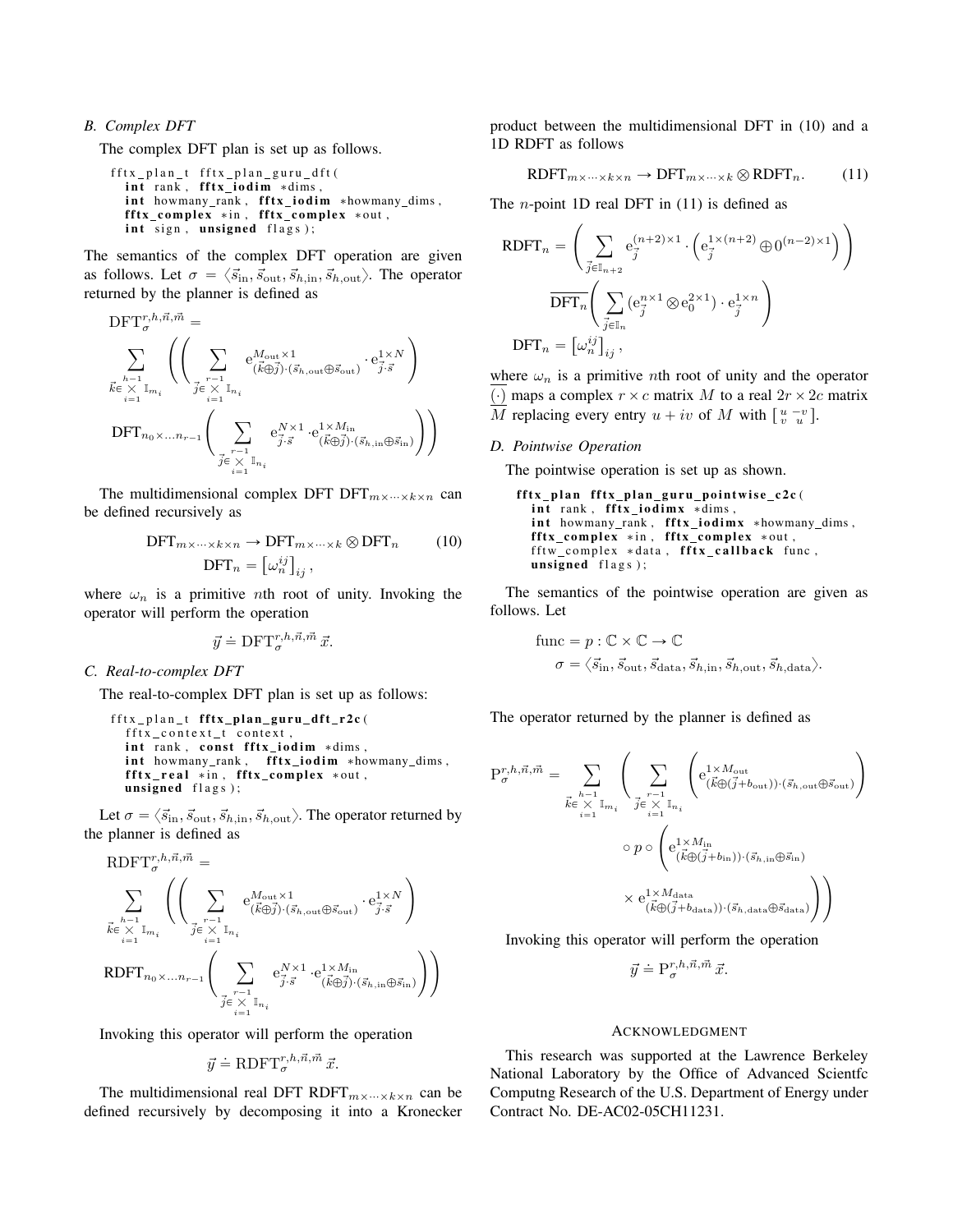#### *B. Complex DFT*

The complex DFT plan is set up as follows.

f f t x p l a n t f f t x p l a n g u r u d f t ( i n t ra n k , f f t x i o d i m ∗dims , i n t howmany rank , f f t x i o d i m ∗howmany dims , f f t x c om pl e x ∗ i n , f f t x c om pl e x ∗ o ut , i n t si g n , un si gned f l a g s ) ;

The semantics of the complex DFT operation are given as follows. Let  $\sigma = \langle \vec{s}_{\text{in}}, \vec{s}_{\text{out}}, \vec{s}_{h, \text{in}}, \vec{s}_{h, \text{out}} \rangle$ . The operator returned by the planner is defined as

$$
\begin{split} &\mathrm{DFT}_{\sigma}^{r,h,\vec{n},\vec{m}} = \\ &\sum_{\vec{k}\in\underset{i=1}{\times}\mathbb{T}_{m_i}}\left(\left(\sum_{\substack{r-1\\ \vec{f}\in\underset{i=1}{\times}\mathbb{T}_{n_i}}} \mathrm{e}_{(\vec{k}\oplus\vec{j})\cdot(\vec{s}_{h,\mathrm{out}}\oplus\vec{s}_{\mathrm{out}})}^{M_{\mathrm{out}}\times1}\cdot\mathrm{e}_{\vec{j}\cdot\vec{s}}^{1\times N}\right)\\ &\mathrm{DFT}_{n_0\times\ldots n_{r-1}}\left(\sum_{\substack{r-1\\ \vec{j}\in\underset{i=1}{\times}\mathbb{T}_{n_i}}} \mathrm{e}_{\vec{j}\cdot\vec{s}}^{N\times1}\cdot\mathrm{e}_{(\vec{k}\oplus\vec{j})\cdot(\vec{s}_{h,\mathrm{in}}\oplus\vec{s}_{\mathrm{in}})}^{1\times M_{\mathrm{in}}}\right)\right) \end{split}
$$

The multidimensional complex DFT  $DFT_{m\times\cdots\times k\times n}$  can be defined recursively as

$$
\text{DFT}_{m \times \dots \times k \times n} \to \text{DFT}_{m \times \dots \times k} \otimes \text{DFT}_n \qquad (10)
$$

$$
\text{DFT}_n = \left[\omega_n^{ij}\right]_{ij},
$$

where  $\omega_n$  is a primitive *n*th root of unity. Invoking the operator will perform the operation

$$
\vec{y} \doteq \text{DFT}_{\sigma}^{r,h,\vec{n},\vec{m}} \, \vec{x}.
$$

# *C. Real-to-complex DFT*

The real-to-complex DFT plan is set up as follows:

```
fftx_plan_t fftx_plan_guru_dft_r2c(
  fftx_context_t_context,
  int rank, const fftx_iodim ∗dims,
  int howmany_rank, fftx_iodim *howmany_dims,
  \texttt{fftx\_real} *in, \texttt{fftx\_complex} *out,
  unsigned flags);
```
Let  $\sigma = \langle \vec{s}_{\text{in}}, \vec{s}_{\text{out}}, \vec{s}_{h, \text{in}}, \vec{s}_{h, \text{out}} \rangle$ . The operator returned by the planner is defined as

$$
\begin{array}{l} \text{RDFT}_{\sigma}^{r,h,\vec{n},\vec{m}} = \\ \sum\limits_{\vec{k} \in \; \times \; \mathbb{I}_{m_i}} \left( \left( \sum\limits_{\vec{j} \in \; \times \; \mathbb{I}_{n_i}} \mathrm{e}_{(\vec{k} \oplus \vec{j}) \cdot (\vec{s}_{h,\mathrm{out}} \oplus \vec{s}_{\mathrm{out}})}^{M_{\mathrm{out}} \times 1} \cdot \mathrm{e}_{\vec{j} \cdot \vec{s}}^{1 \times N} \right) \\ \text{RDFT}_{n_0 \times \ldots n_{r-1}} \left( \sum\limits_{\vec{j} \in \; \times \; \mathbb{I}_{n_i}} \mathrm{e}_{\vec{j} \cdot \vec{s}}^{N \times 1} \cdot \mathrm{e}_{(\vec{k} \oplus \vec{j}) \cdot (\vec{s}_{h,\mathrm{in}} \oplus \vec{s}_{\mathrm{in}})}^{1 \times M_{\mathrm{in}}} \right) \right) \end{array}
$$

Invoking this operator will perform the operation

$$
\vec{y} \doteq {\rm RDFT}^{r,h,\vec{n},\vec{m}}_{\sigma}\, \vec{x}.
$$

The multidimensional real DFT RDFT $_{m \times \cdots \times k \times n}$  can be defined recursively by decomposing it into a Kronecker product between the multidimensional DFT in (10) and a 1D RDFT as follows

$$
R\text{DFT}_{m \times \cdots \times k \times n} \to \text{DFT}_{m \times \cdots \times k} \otimes R\text{DFT}_n. \tag{11}
$$

The  $n$ -point 1D real DFT in  $(11)$  is defined as

$$
\text{RDFT}_n = \left(\sum_{\vec{j} \in \mathbb{I}_{n+2}} \mathbf{e}_{\vec{j}}^{(n+2)\times 1} \cdot \left(\mathbf{e}_{\vec{j}}^{1 \times (n+2)} \oplus \mathbf{0}^{(n-2)\times 1}\right)\right)
$$

$$
\overline{\text{DFT}_n}\left(\sum_{\vec{j} \in \mathbb{I}_n} (\mathbf{e}_{\vec{j}}^{n \times 1} \otimes \mathbf{e}_{\mathbf{0}}^{2 \times 1}) \cdot \mathbf{e}_{\vec{j}}^{1 \times n}\right)
$$

$$
\text{DFT}_n = \left[\omega_n^{ij}\right]_{ij},
$$

where  $\omega_n$  is a primitive *n*th root of unity and the operator (·) maps a complex  $r \times c$  matrix M to a real  $2r \times 2c$  matrix M replacing every entry  $u + iv$  of M with  $\begin{bmatrix} u - v \\ v u \end{bmatrix}$ .

#### *D. Pointwise Operation*

The pointwise operation is set up as shown.

```
fftx_plan fftx_plan_guru_pointwise_c2c(
 int rank, fftx_iodimx *dims,
 int howmany_rank, fftx_iodimx *howmany_dims,
 fftx_complex *in, fftx_complex *out,
 fftw_complex *data, fftx_callback func,
 unsigned flags);
```
The semantics of the pointwise operation are given as follows. Let

func = 
$$
p : \mathbb{C} \times \mathbb{C} \to \mathbb{C}
$$
  
\n $\sigma = \langle \vec{s}_{\text{in}}, \vec{s}_{\text{out}}, \vec{s}_{\text{data}}, \vec{s}_{h, \text{in}}, \vec{s}_{h, \text{out}}, \vec{s}_{h, \text{data}} \rangle$ .

The operator returned by the planner is defined as

$$
\begin{split} \mathbf{P}^{r,h,\vec{n},\vec{m}}_{\sigma} = \sum_{\vec{k} \in \; \underset{i=1}{\times} \; \mathbb{I}_{m_{i}}} & \left( \sum_{\vec{i} \in \; \underset{i=1}{\times} \; \mathbb{I}_{n_{i}}} \left( \mathrm{e}_{(\vec{k} \oplus (\vec{j}+b_{\mathrm{out}})) \cdot (\vec{s}_{h,\mathrm{out}} \oplus \vec{s}_{\mathrm{out}})}^{1 \times \mathbb{I}_{m_{i}}} \right) \right) \\ & \qquad \qquad \circ \; p \circ \left( \mathrm{e}_{(\vec{k} \oplus (\vec{j}+b_{\mathrm{in}})) \cdot (\vec{s}_{h,\mathrm{in}} \oplus \vec{s}_{\mathrm{in}})}^{1 \times M_{\mathrm{in}}} \right) \\ & \qquad \qquad \times \mathrm{e}_{(\vec{k} \oplus (\vec{j}+b_{\mathrm{data}})) \cdot (\vec{s}_{h,\mathrm{data}} \oplus \vec{s}_{\mathrm{data}})}^{1 \times M_{\mathrm{data}}} \right) \right) \end{split}
$$

Invoking this operator will perform the operation

$$
\vec{y} \doteq \mathbf{P}^{r,h,\vec{n},\vec{m}}_{\sigma}\,\vec{x}.
$$

#### ACKNOWLEDGMENT

This research was supported at the Lawrence Berkeley National Laboratory by the Office of Advanced Scientfc Computng Research of the U.S. Department of Energy under Contract No. DE-AC02-05CH11231.